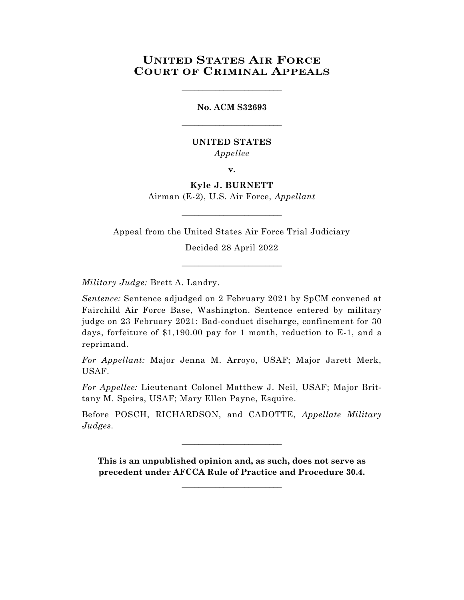## **UNITED STATES AIR FORCE COURT OF CRIMINAL APPEALS**

\_\_\_\_\_\_\_\_\_\_\_\_\_\_\_\_\_\_\_\_\_\_\_\_

## **No. ACM S32693** \_\_\_\_\_\_\_\_\_\_\_\_\_\_\_\_\_\_\_\_\_\_\_\_

## **UNITED STATES** *Appellee*

**v.**

**Kyle J. BURNETT** Airman (E-2), U.S. Air Force, *Appellant*

Appeal from the United States Air Force Trial Judiciary

\_\_\_\_\_\_\_\_\_\_\_\_\_\_\_\_\_\_\_\_\_\_\_\_

Decided 28 April 2022

\_\_\_\_\_\_\_\_\_\_\_\_\_\_\_\_\_\_\_\_\_\_\_\_

*Military Judge:* Brett A. Landry.

*Sentence:* Sentence adjudged on 2 February 2021 by SpCM convened at Fairchild Air Force Base, Washington. Sentence entered by military judge on 23 February 2021: Bad-conduct discharge, confinement for 30 days, forfeiture of \$1,190.00 pay for 1 month, reduction to E-1, and a reprimand.

*For Appellant:* Major Jenna M. Arroyo, USAF; Major Jarett Merk, USAF.

*For Appellee:* Lieutenant Colonel Matthew J. Neil, USAF; Major Brittany M. Speirs, USAF; Mary Ellen Payne, Esquire.

Before POSCH, RICHARDSON, and CADOTTE, *Appellate Military Judges.*

\_\_\_\_\_\_\_\_\_\_\_\_\_\_\_\_\_\_\_\_\_\_\_\_

**This is an unpublished opinion and, as such, does not serve as precedent under AFCCA Rule of Practice and Procedure 30.4.**

**\_\_\_\_\_\_\_\_\_\_\_\_\_\_\_\_\_\_\_\_\_\_\_\_**